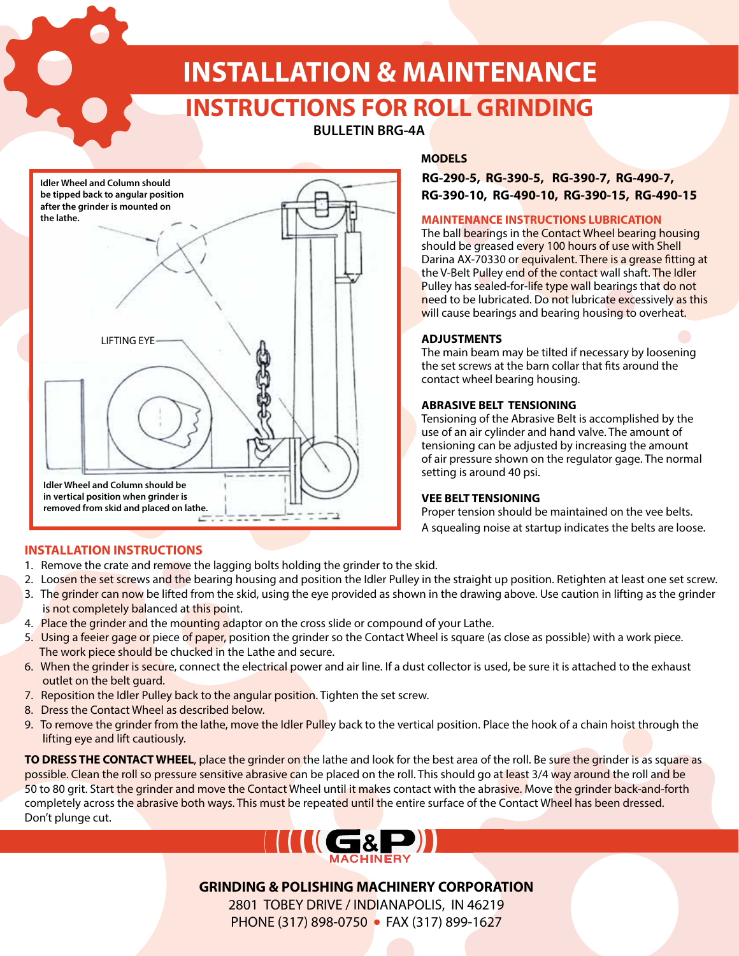# **INSTALLATION & MAINTENANCE**

# **INSTRUCTIONS FOR ROLL GRINDING**

# **BULLETIN BRG-4A**



# **MODELS**

# **RG-290-5, RG-390-5, RG-390-7, RG-490-7, RG-390-10, RG-490-10, RG-390-15, RG-490-15**

#### **MAINTENANCE INSTRUCTIONS LUBRICATION**

The ball bearings in the Contact Wheel bearing housing should be greased every 100 hours of use with Shell Darina AX-70330 or equivalent. There is a grease fitting at the V-Belt Pulley end of the contact wall shaft. The Idler Pulley has sealed-for-life type wall bearings that do not need to be lubricated. Do not lubricate excessively as this will cause bearings and bearing housing to overheat.

#### **ADJUSTMENTS**

The main beam may be tilted if necessary by loosening the set screws at the barn collar that fits around the contact wheel bearing housing.

#### **ABRASIVE BELT TENSIONING**

Tensioning of the Abrasive Belt is accomplished by the use of an air cylinder and hand valve. The amount of tensioning can be adjusted by increasing the amount of air pressure shown on the regulator gage. The normal setting is around 40 psi.

## **VEE BELT TENSIONING**

Proper tension should be maintained on the vee belts. A squealing noise at startup indicates the belts are loose.

## **INSTALLATION INSTRUCTIONS**

- 1. Remove the crate and remove the lagging bolts holding the grinder to the skid.
- 2. Loosen the set screws and the bearing housing and position the Idler Pulley in the straight up position. Retighten at least one set screw.
- 3. The grinder can now be lifted from the skid, using the eye provided as shown in the drawing above. Use caution in lifting as the grinder is not completely balanced at this point.
- 4. Place the grinder and the mounting adaptor on the cross slide or compound of your Lathe.
- 5. Using a feeier gage or piece of paper, position the grinder so the Contact Wheel is square (as close as possible) with a work piece. The work piece should be chucked in the Lathe and secure.
- 6. When the grinder is secure, connect the electrical power and air line. If a dust collector is used, be sure it is attached to the exhaust outlet on the belt guard.
- 7. Reposition the Idler Pulley back to the angular position. Tighten the set screw.
- 8. Dress the Contact Wheel as described below.
- 9. To remove the grinder from the lathe, move the Idler Pulley back to the vertical position. Place the hook of a chain hoist through the lifting eye and lift cautiously.

**TO DRESS THE CONTACT WHEEL**, place the grinder on the lathe and look for the best area of the roll. Be sure the grinder is as square as possible. Clean the roll so pressure sensitive abrasive can be placed on the roll. This should go at least 3/4 way around the roll and be 50 to 80 grit. Start the grinder and move the Contact Wheel until it makes contact with the abrasive. Move the grinder back-and-forth completely across the abrasive both ways. This must be repeated until the entire surface of the Contact Wheel has been dressed. Don't plunge cut.



# **GRINDING & POLISHING MACHINERY CORPORATION**

2801 TOBEY DRIVE / INDIANAPOLIS, IN 46219 PHONE (317) 898-0750 • FAX (317) 899-1627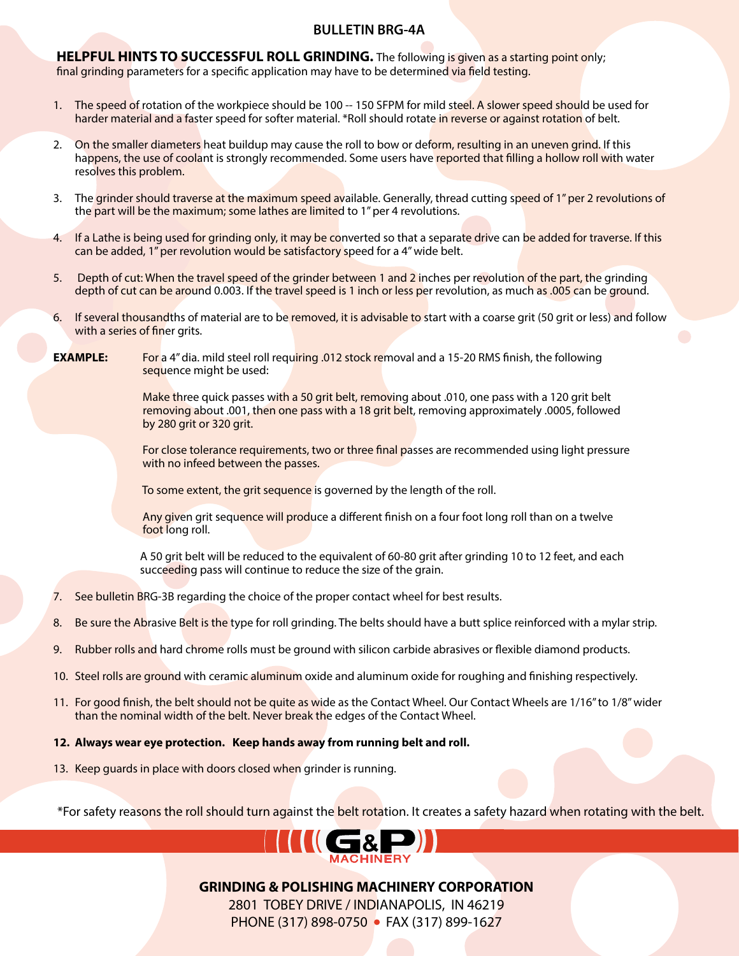# **BULLETIN BRG-4A**

**HELPFUL HINTS TO SUCCESSFUL ROLL GRINDING.** The following is given as a starting point only; final grinding parameters for a specific application may have to be determined via field testing.

- 1. The speed of rotation of the workpiece should be 100 -- 150 SFPM for mild steel. A slower speed should be used for harder material and a faster speed for softer material. \*Roll should rotate in reverse or against rotation of belt.
- 2. On the smaller diameters heat buildup may cause the roll to bow or deform, resulting in an uneven grind. If this happens, the use of coolant is strongly recommended. Some users have reported that filling a hollow roll with water resolves this problem.
- 3. The grinder should traverse at the maximum speed available. Generally, thread cutting speed of 1" per 2 revolutions of the part will be the maximum; some lathes are limited to 1" per 4 revolutions.
- 4. If a Lathe is being used for grinding only, it may be converted so that a separate drive can be added for traverse. If this can be added, 1" per revolution would be satisfactory speed for a 4" wide belt.
- 5. Depth of cut: When the travel speed of the grinder between 1 and 2 inches per revolution of the part, the grinding depth of cut can be around 0.003. If the travel speed is 1 inch or less per revolution, as much as .005 can be ground.
- 6. If several thousandths of material are to be removed, it is advisable to start with a coarse grit (50 grit or less) and follow with a series of finer grits.
- **EXAMPLE:** For a 4" dia. mild steel roll requiring .012 stock removal and a 15-20 RMS finish, the following sequence might be used:

Make three quick passes with a 50 grit belt, removing about .010, one pass with a 120 grit belt removing about .001, then one pass with a 18 grit belt, removing approximately .0005, followed by 280 grit or 320 grit.

For close tolerance requirements, two or three final passes are recommended using light pressure with no infeed between the passes.

To some extent, the grit sequence is governed by the length of the roll.

Any given grit sequence will produce a different finish on a four foot long roll than on a twelve foot long roll.

 A 50 grit belt will be reduced to the equivalent of 60-80 grit after grinding 10 to 12 feet, and each succeeding pass will continue to reduce the size of the grain.

- 7. See bulletin BRG-3B regarding the choice of the proper contact wheel for best results.
- 8. Be sure the Abrasive Belt is the type for roll grinding. The belts should have a butt splice reinforced with a mylar strip.
- 9. Rubber rolls and hard chrome rolls must be ground with silicon carbide abrasives or flexible diamond products.
- 10. Steel rolls are ground with ceramic aluminum oxide and aluminum oxide for roughing and finishing respectively.
- 11. For good finish, the belt should not be quite as wide as the Contact Wheel. Our Contact Wheels are 1/16" to 1/8" wider than the nominal width of the belt. Never break the edges of the Contact Wheel.

#### **12. Always wear eye protection. Keep hands away from running belt and roll.**

13. Keep guards in place with doors closed when grinder is running.

\*For safety reasons the roll should turn against the belt rotation. It creates a safety hazard when rotating with the belt.



**GRINDING & POLISHING MACHINERY CORPORATION**

2801 TOBEY DRIVE / INDIANAPOLIS, IN 46219 PHONE (317) 898-0750 • FAX (317) 899-1627